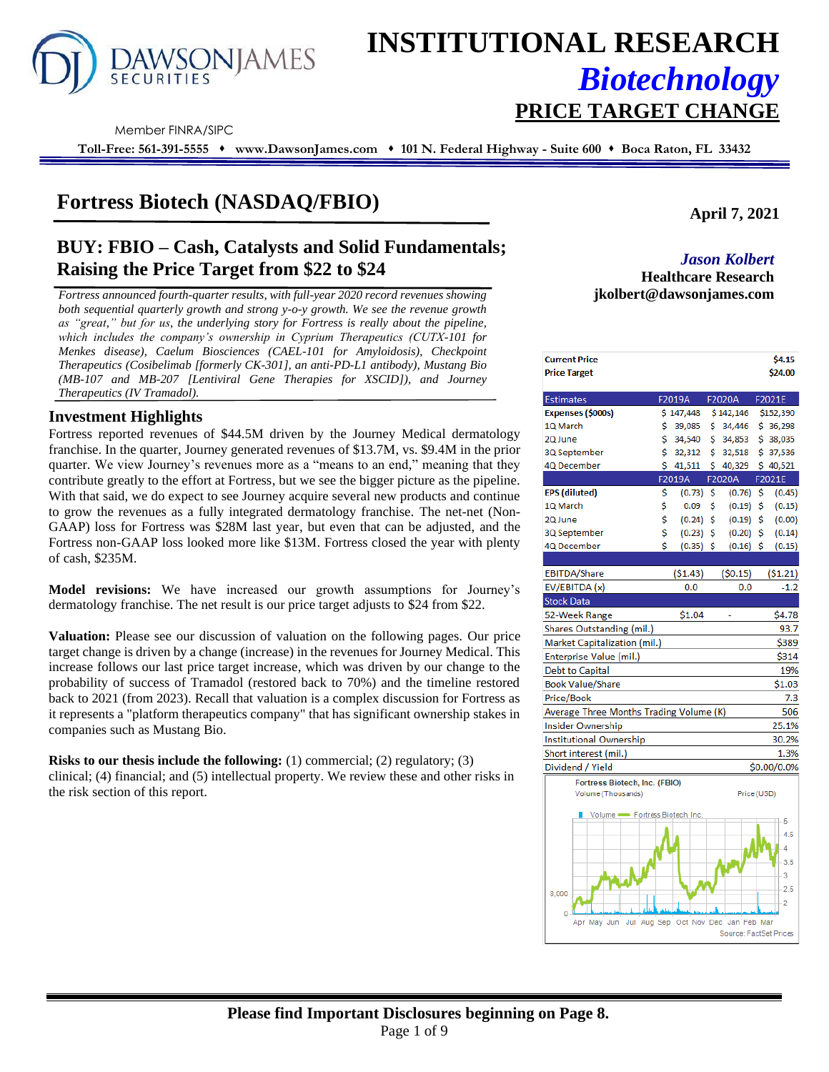

# **INSTITUTIONAL RESEARCH** *Biotechnology* **PRICE TARGET CHANGE**

Member FINRA/SIPC

**Toll-Free: 561-391-5555** ⬧ **www.DawsonJames.com** ⬧ **101 N. Federal Highway - Suite 600** ⬧ **Boca Raton, FL 33432**

# **Fortress Biotech (NASDAQ/FBIO)**

# **BUY: FBIO – Cash, Catalysts and Solid Fundamentals; Raising the Price Target from \$22 to \$24** *Jason Kolbert*

*Fortress announced fourth-quarter results, with full-year 2020 record revenues showing* **jkolbert@dawsonjames.com** *both sequential quarterly growth and strong y-o-y growth. We see the revenue growth as "great," but for us, the underlying story for Fortress is really about the pipeline, which includes the company's ownership in Cyprium Therapeutics (CUTX-101 for Menkes disease), Caelum Biosciences (CAEL-101 for Amyloidosis), Checkpoint Therapeutics (Cosibelimab [formerly CK-301], an anti-PD-L1 antibody), Mustang Bio (MB-107 and MB-207 [Lentiviral Gene Therapies for XSCID]), and Journey Therapeutics (IV Tramadol).*

# **Investment Highlights** *.*

Fortress reported revenues of \$44.5M driven by the Journey Medical dermatology franchise. In the quarter, Journey generated revenues of \$13.7M, vs. \$9.4M in the prior quarter. We view Journey's revenues more as a "means to an end," meaning that they contribute greatly to the effort at Fortress, but we see the bigger picture as the pipeline. With that said, we do expect to see Journey acquire several new products and continue to grow the revenues as a fully integrated dermatology franchise. The net-net (Non-GAAP) loss for Fortress was \$28M last year, but even that can be adjusted, and the Fortress non-GAAP loss looked more like \$13M. Fortress closed the year with plenty of cash, \$235M.

**Model revisions:** We have increased our growth assumptions for Journey's dermatology franchise. The net result is our price target adjusts to \$24 from \$22.

**Valuation:** Please see our discussion of valuation on the following pages. Our price target change is driven by a change (increase) in the revenues for Journey Medical. This increase follows our last price target increase, which was driven by our change to the probability of success of Tramadol (restored back to 70%) and the timeline restored back to 2021 (from 2023). Recall that valuation is a complex discussion for Fortress as it represents a "platform therapeutics company" that has significant ownership stakes in companies such as Mustang Bio.

**Risks to our thesis include the following:** (1) commercial; (2) regulatory; (3) clinical; (4) financial; and (5) intellectual property. We review these and other risks in the risk section of this report.

**April 7, 2021**

**Healthcare Research** 

| <b>Current Price</b><br><b>Price Target</b> |    |                                 |     |                        | \$4.15<br>\$24.00 |
|---------------------------------------------|----|---------------------------------|-----|------------------------|-------------------|
|                                             |    |                                 |     |                        |                   |
| <b>Estimates</b>                            |    | F2019A                          |     | F2020A                 | F2021E            |
| Expenses (\$000s)                           |    | \$147,448                       |     | \$142,146              | \$152,390         |
| 1Q March                                    | \$ | 39,085                          | \$  | 34,446                 | \$36,298          |
| 2Q June                                     | Ś  | 34,540                          | Ś   | 34,853                 | \$38,035          |
| 3Q September                                | \$ | 32,312                          | \$  | 32,518                 | \$37,536          |
| 4Q December                                 | \$ | 41,511                          | Ś   | 40,329                 | \$40,521          |
|                                             |    | F2019A                          |     | F2020A                 | F2021E            |
| <b>EPS</b> (diluted)                        | \$ | (0.73)                          | -\$ | (0.76)                 | \$<br>(0.45)      |
| 1Q March                                    | \$ | 0.09                            | Ś   | (0.19)                 | \$<br>(0.15)      |
| 2Q June                                     | \$ | (0.24)                          | Ŝ   | (0.19)                 | \$<br>(0.00)      |
| 3Q September                                | \$ | $(0.23)$ \$                     |     | (0.20)                 | \$<br>(0.14)      |
| 4Q December                                 | Ś  | $(0.35)$ \$                     |     | $(0.16)$ \$            | (0.15)            |
|                                             |    |                                 |     |                        |                   |
| EBITDA/Share                                |    | (51.43)                         |     | (50.15)                | (51.21)           |
| EV/EBITDA (x)                               |    | 0.0                             |     | 0.0                    | $-1.2$            |
| <b>Stock Data</b>                           |    |                                 |     |                        |                   |
| 52-Week Range                               |    | \$1.04                          |     |                        | \$4.78            |
| Shares Outstanding (mil.)                   |    |                                 |     |                        | 93.7              |
| Market Capitalization (mil.)                |    |                                 |     |                        | \$389             |
| Enterprise Value (mil.)                     |    |                                 |     |                        | \$314             |
| <b>Debt to Capital</b>                      |    |                                 |     |                        | 19%               |
| <b>Book Value/Share</b>                     |    |                                 |     |                        | \$1.03            |
| Price/Book                                  |    |                                 |     |                        | 7.3               |
| Average Three Months Trading Volume (K)     |    |                                 |     |                        | 506               |
| <b>Insider Ownership</b>                    |    |                                 |     |                        | 25.1%             |
| Institutional Ownership                     |    |                                 |     |                        | 30.2%             |
| Short interest (mil.)                       |    |                                 |     |                        | 1.3%              |
| Dividend / Yield                            |    |                                 |     |                        | \$0.00/0.0%       |
| Fortress Biotech, Inc. (FBIO)               |    |                                 |     |                        |                   |
| Volume (Thousands)                          |    |                                 |     | Price (USD)            |                   |
| Volume - Fortress Biotech, Inc.             |    |                                 |     |                        |                   |
|                                             |    |                                 |     |                        | 5                 |
|                                             |    |                                 |     |                        | 4.5               |
|                                             |    |                                 |     |                        | 4                 |
|                                             |    |                                 |     |                        | 3.5               |
|                                             |    |                                 |     |                        | 3                 |
| 8.000                                       |    |                                 |     |                        | 2.5               |
|                                             |    |                                 |     |                        | 2                 |
| $\mathbf{0}$<br>Apr May Jun<br>Jul          |    | Aug Sep Oct Nov Dec Jan Feb Mar |     |                        |                   |
|                                             |    |                                 |     | Source: FactSet Prices |                   |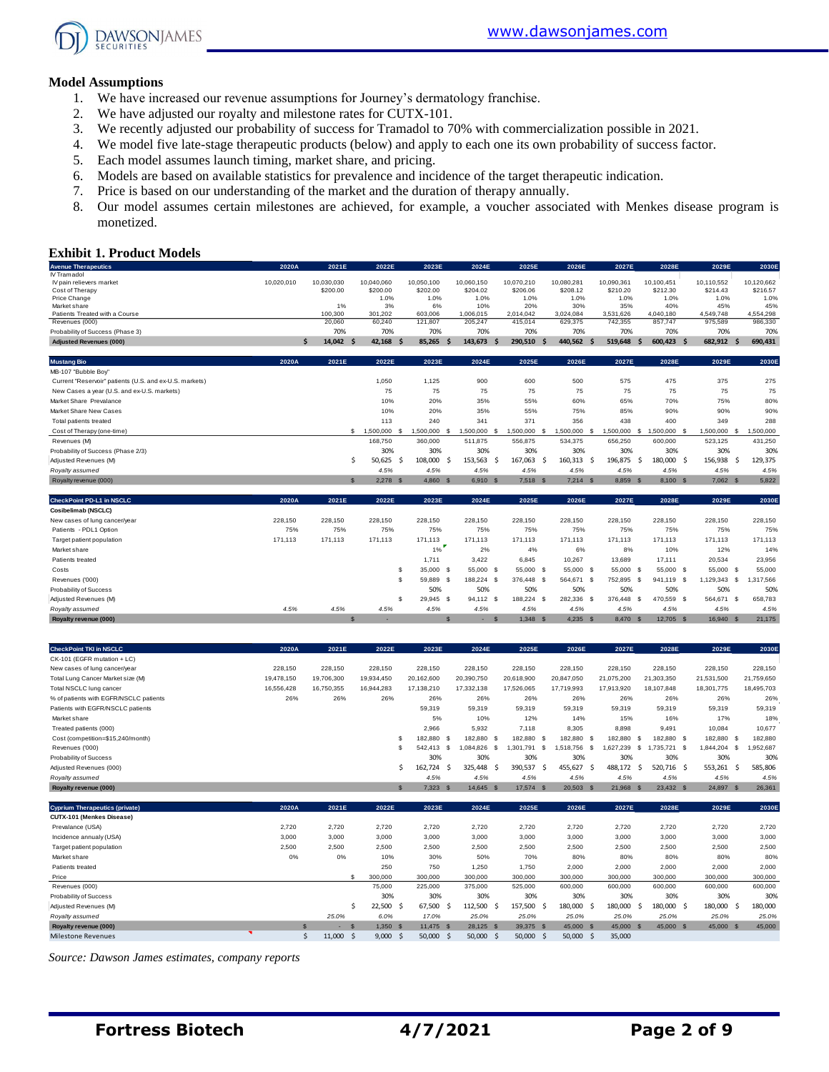

#### **Model Assumptions**

- 1. We have increased our revenue assumptions for Journey's dermatology franchise.
- 2. We have adjusted our royalty and milestone rates for CUTX-101.
- 3. We recently adjusted our probability of success for Tramadol to 70% with commercialization possible in 2021.
- 4. We model five late-stage therapeutic products (below) and apply to each one its own probability of success factor.
- 5. Each model assumes launch timing, market share, and pricing.
- 6. Models are based on available statistics for prevalence and incidence of the target therapeutic indication.
- 7. Price is based on our understanding of the market and the duration of therapy annually.
- 8. Our model assumes certain milestones are achieved, for example, a voucher associated with Menkes disease program is monetized.

#### **Exhibit 1. Product Models**

| <b>Avenue Therapeutics</b>                              | 2020A      | 2021E         | 2022E         | 2023E            | 2024E           | 2025E          | 2026E           | 2027E           | 2028E              | 2029E          | 2030E          |
|---------------------------------------------------------|------------|---------------|---------------|------------------|-----------------|----------------|-----------------|-----------------|--------------------|----------------|----------------|
| IV Tramadol                                             |            |               |               |                  |                 |                |                 |                 |                    |                |                |
| IV pain relievers market                                | 10,020,010 | 10,030,030    | 10,040,060    | 10,050,100       | 10,060,150      | 10,070,210     | 10,080,281      | 10,090,361      | 10.100.451         | 10,110,552     | 10,120,662     |
| Cost of Therapy                                         |            | \$200.00      | \$200.00      | \$202.00         | \$204.02        | \$206.06       | \$208.12        | \$210.20        | \$212.30           | \$214.43       | \$216.57       |
| Price Change                                            |            |               | 1.0%          | 1.0%             | 1.0%            | 1.0%           | 1.0%            | 1.0%            | 1.0%               | 1.0%           | 1.0%           |
| Market share                                            |            | 1%            | 3%            | 6%               | 10%             | 20%            | 30%             | 35%             | 40%                | 45%            | 45%            |
| Patients Treated with a Course                          |            | 100.300       | 301.202       | 603,006          | 1,006,015       | 2,014,042      | 3,024,084       | 3,531,626       | 4.040.180          | 4,549,748      | 4,554,298      |
| Revenues (000)<br>Probability of Success (Phase 3)      |            | 20,060<br>70% | 60,240<br>70% | 121,807<br>70%   | 205,247<br>70%  | 415,014<br>70% | 629,375<br>70%  | 742,355<br>70%  | 857,747<br>70%     | 975,589<br>70% | 986,330<br>70% |
|                                                         |            |               |               |                  |                 |                |                 |                 |                    |                |                |
| <b>Adiusted Revenues (000)</b>                          | Ś.         | 14.042<br>.\$ | 42.168<br>-S  | 85.265           | 143.673         | 290.510        | 440,562         | 519.648         | 600.423 \$<br>.S   | 682,912<br>-S  | 690.431        |
| <b>Mustang Bio</b>                                      | 2020A      | 2021E         | 2022E         | 2023E            | 2024E           | 2025E          | 2026E           | 2027E           | 2028E              | 2029E          | 2030E          |
| MB-107 "Bubble Boy"                                     |            |               |               |                  |                 |                |                 |                 |                    |                |                |
| Current "Reservoir" patients (U.S. and ex-U.S. markets) |            |               | 1,050         | 1,125            | 900             | 600            | 500             | 575             | 475                | 375            | 275            |
| New Cases a year (U.S. and ex-U.S. markets)             |            |               | 75            | 75               | 75              | 75             | 75              | 75              | 75                 | 75             | 75             |
| Market Share Prevalance                                 |            |               | 10%           | 20%              | 35%             | 55%            | 60%             | 65%             | 70%                | 75%            | 80%            |
| Market Share New Cases                                  |            |               | 10%           | 20%              | 35%             | 55%            | 75%             | 85%             | 90%                | 90%            | 90%            |
| Total patients treated                                  |            |               | 113           | 240              | 341             | 371            | 356             | 438             | 400                | 349            | 288            |
| Cost of Therapy (one-time)                              |            |               | \$ 1.500,000  | 1.500.000<br>- S | 1,500,000<br>-S | 1,500,000      | 1,500,000<br>-S | 1.500.000<br>.s | 1.500.000 \$<br>-S | 1,500,000 \$   | 1,500,000      |
| Revenues (M)                                            |            |               | 168,750       | 360,000          | 511,875         | 556,875        | 534,375         | 656,250         | 600,000            | 523,125        | 431,250        |
| Probability of Success (Phase 2/3)                      |            |               | 30%           | 30%              | 30%             | 30%            | 30%             | 30%             | 30%                | 30%            | 30%            |
| Adjusted Revenues (M)                                   |            | Ŝ             | 50,625<br>-Ś  | 108,000          | 153,563 \$      | 167,063        | - Ś<br>160,313  | -Ś<br>196,875   | 180,000 \$<br>-Ś   | 156,938<br>-Ŝ  | 129,375        |
| Royalty assumed                                         |            |               | 4.5%          | 4.5%             | 4.5%            | 4.5%           | 4.5%            | 4.5%            | 4.5%               | 4.5%           | 4.5%           |
| Royalty revenue (000)                                   |            | $\mathbf{s}$  | $2.278$ \$    | 4.860 S          | 6,910 \$        | 7,518 \$       | $7,214$ \$      | 8.859 \$        | 8,100 \$           | 7,062 \$       | 5,822          |
| CheckPoint PD-L1 in NSCLC                               | 2020A      | 2021E         | 2022E         | 2023E            | 2024E           | 2025E          | 2026E           | 2027E           | 2028E              | 2029E          | 2030E          |
| Cosibelimab (NSCLC)                                     |            |               |               |                  |                 |                |                 |                 |                    |                |                |
| New cases of lung cancer/year                           | 228,150    | 228,150       | 228,150       | 228,150          | 228,150         | 228,150        | 228,150         | 228,150         | 228,150            | 228,150        | 228,150        |
| Patients - PDL1 Option                                  | 75%        | 75%           | 75%           | 75%              | 75%             | 75%            | 75%             | 75%             | 75%                | 75%            | 75%            |
| Target patient population                               | 171,113    | 171.113       | 171.113       | 171.113          | 171.113         | 171,113        | 171.113         | 171,113         | 171.113            | 171,113        | 171.113        |
| Market share                                            |            |               |               | 1%               | 2%              | 4%             | 6%              | 8%              | 10%                | 12%            | 14%            |
| Patients treated                                        |            |               |               | 1,711            | 3,422           | 6,845          | 10,267          | 13,689          | 17.111             | 20,534         | 23,956         |
| Costs                                                   |            |               |               | 35,000 \$        | 55,000 \$       | 55,000 \$      | 55,000 \$       | 55,000 \$       | 55,000 \$          | 55,000 \$      | 55,000         |
| Revenues ('000)                                         |            |               |               | 59,889 \$        | 188.224 \$      | 376,448        | - \$<br>564,671 | - \$<br>752,895 | -S<br>941.119 \$   | 1.129.343 \$   | 1.317.566      |

| Probability of Success                 |            |            |                          | 50%        | 50%        | 50%              | 50%        | 50%        | 50%                       | 50%        | 50%                    |
|----------------------------------------|------------|------------|--------------------------|------------|------------|------------------|------------|------------|---------------------------|------------|------------------------|
| Adjusted Revenues (M)                  |            |            | -55                      | 29,945 \$  | 94.112 \$  | 188,224 \$       | 282,336 \$ | 376,448    | 470.559 \$<br>- \$        | 564,671 \$ | 658,783                |
| Royalty assumed                        | 4.5%       | 4.5%       | 4.5%                     | 4.5%       | 4.5%       | 4.5%             | 4.5%       | 4.5%       | 4.5%                      | 4.5%       | 4.5%                   |
| Royalty revenue (000)                  |            |            | $\overline{\phantom{a}}$ |            | S          | $1,348$ \$<br>S. | $4,235$ \$ | 8,470      | 12.705 \$<br>$\mathbf{s}$ | 16,940     | 21,175<br>$\mathsf{s}$ |
|                                        |            |            |                          |            |            |                  |            |            |                           |            |                        |
| <b>CheckPoint TKI in NSCLC</b>         | 2020A      | 2021E      | 2022E                    | 2023E      | 2024E      | 2025E            | 2026E      | 2027E      | 2028E                     | 2029E      | 2030E                  |
| CK-101 (EGFR mutation + LC)            |            |            |                          |            |            |                  |            |            |                           |            |                        |
| New cases of lung cancer/year          | 228,150    | 228,150    | 228,150                  | 228,150    | 228,150    | 228,150          | 228,150    | 228,150    | 228,150                   | 228,150    | 228,150                |
| Total Lung Cancer Market size (M)      | 19,478,150 | 19,706,300 | 19,934,450               | 20,162,600 | 20,390,750 | 20,618,900       | 20,847,050 | 21,075,200 | 21,303,350                | 21,531,500 | 21,759,650             |
| Total NSCLC lung cancer                | 16,556,428 | 16,750,355 | 16,944,283               | 17,138,210 | 17,332,138 | 17,526,065       | 17,719,993 | 17,913,920 | 18.107.848                | 18,301,775 | 18,495,703             |
| % of patients with EGFR/NSCLC patients | 26%        | 26%        | 26%                      | 26%        | 26%        | 26%              | 26%        | 26%        | 26%                       | 26%        | 26%                    |
| Patients with EGFR/NSCLC patients      |            |            |                          | 59,319     | 59,319     | 59,319           | 59,319     | 59,319     | 59,319                    | 59,319     | 59,319                 |
| Market share                           |            |            |                          | 5%         | 10%        | 12%              | 14%        | 15%        | 16%                       | 17%        | 18%                    |
| Treated patients (000)                 |            |            |                          | 2,966      | 5,932      | 7,118            | 8,305      | 8,898      | 9.491                     | 10,084     | 10,677                 |

| Cost (competition=\$15,240/month)     |       |       |              | 182,880        | 182,880    |     | 182,880   | - \$ | 82.880    |      | 182.880   |    | 182.880     | 182,880   |    | 182,880   |
|---------------------------------------|-------|-------|--------------|----------------|------------|-----|-----------|------|-----------|------|-----------|----|-------------|-----------|----|-----------|
| Revenues ('000)                       |       |       |              | 542.413 S      | .084.826   | - S | 1.301.791 | - \$ | .518.756  | - \$ | 1.627.239 | -S | .735.721 \$ | 1.844.204 | s  | !,952,687 |
| Probability of Success                |       |       |              | 30%            | 30%        |     | 30%       |      | 30%       |      | 30%       |    | 30%         | 30%       |    | 30%       |
| Adjusted Revenues (000)               |       |       |              | 162.724<br>- 5 | 325.448 \$ |     | 390,537   |      | 455,627   | -S   | 488,172   | s  | 520,716 \$  | 553,261   | -S | 585,806   |
| Royalty assumed                       |       |       |              | 4.5%           | 4.5%       |     | 4.5%      |      | 4.5%      |      | 4.5%      |    | 4.5%        | 4.5%      |    | 4.5%      |
| Royalty revenue (000)                 |       |       | $\mathbf{s}$ | 7.323 S        | 14.645 S   |     | 17.574 \$ |      | 20.503 \$ |      | 21,968    | -S | 23.432 \$   | 24,897    | -S | 26,361    |
|                                       |       |       |              |                |            |     |           |      |           |      |           |    |             |           |    |           |
| <b>Cyprium Therapeutics (private)</b> | 2020A | 2021E | 2022E        | 2023E          | 2024E      |     | 2025E     |      | 2026E     |      | 2027E     |    | 2028E       | 2029E     |    | 2030E     |
| CUTX-101 (Menkes Disease)             |       |       |              |                |            |     |           |      |           |      |           |    |             |           |    |           |
| Prevalance (USA)                      | 2,720 | 2,720 | 2,720        | 2,720          | 2,720      |     | 2,720     |      | 2,720     |      | 2,720     |    | 2,720       | 2,720     |    | 2,720     |
| Incidence annualy (USA)               | 3,000 | 3,000 | 3,000        | 3,000          | 3,000      |     | 3,000     |      | 3,000     |      | 3,000     |    | 3,000       | 3,000     |    | 3,000     |
| Target patient population             | 2,500 | 2,500 | 2,500        | 2,500          | 2,500      |     | 2,500     |      | 2,500     |      | 2,500     |    | 2,500       | 2,500     |    | 2,500     |
| Market share                          | 0%    | 0%    | 10%          | 30%            | 50%        |     | 70%       |      | 80%       |      | 80%       |    | 80%         | 80%       |    | 80%       |
| Patients treated                      |       |       | 250          | 750            | 1.250      |     | 1.750     |      | 2.000     |      | 2,000     |    | 2,000       | 2,000     |    | 2,000     |
| Price                                 |       |       | 300,000      | 300,000        | 300,000    |     | 300,000   |      | 300,000   |      | 300,000   |    | 300,000     | 300,000   |    | 300,000   |

Revenues (000) 75,000 225,000 375,000 525,000 600,000 600,000 600,000 600,000 600,000 Probability of Success 30% 30% 30% 30% 30% 30% 30% 30% 30% Adjusted Revenues (M) \$ 22,500 \$ 67,500 \$ 112,500 \$ 157,500 \$ 180,000 \$ 180,000 \$ 180,000 \$ 180,000 \$ 180,000 *Royalty assumed 25.0% 6.0% 17.0% 25.0% 25.0% 25.0% 25.0% 25.0% 25.0% 25.0%* **Royalty revenue (000) \$ -** \$ 1,350 \$ 11,475 \$ 28,125 \$ 39,375 \$ 45,000 \$ 45,000 \$ 45,000 \$ 45,000 \$ 45,000

Milestone Revenues **12,000** \$ 11,000 \$ 9,000 \$ 50,000 \$ 50,000 \$ 50,000 \$ 50,000 \$ 35,000 \$ 35,000

*Source: Dawson James estimates, company reports*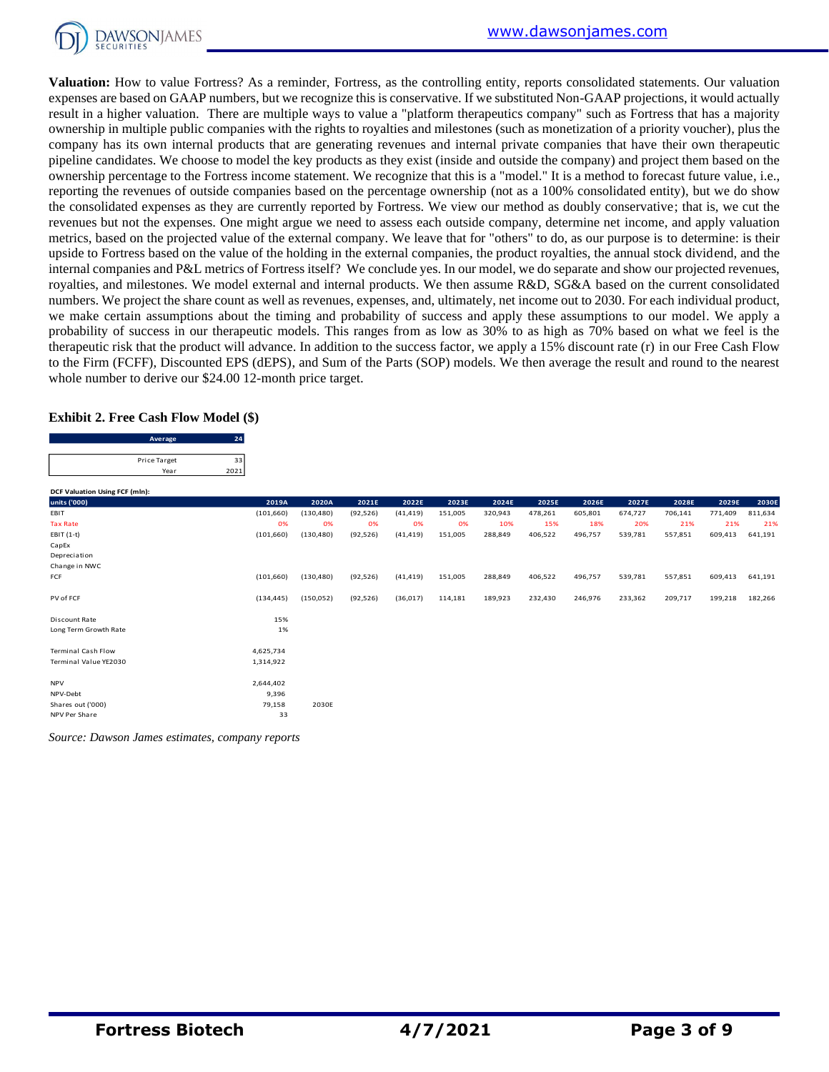

**Valuation:** How to value Fortress? As a reminder, Fortress, as the controlling entity, reports consolidated statements. Our valuation expenses are based on GAAP numbers, but we recognize this is conservative. If we substituted Non-GAAP projections, it would actually result in a higher valuation. There are multiple ways to value a "platform therapeutics company" such as Fortress that has a majority ownership in multiple public companies with the rights to royalties and milestones (such as monetization of a priority voucher), plus the company has its own internal products that are generating revenues and internal private companies that have their own therapeutic pipeline candidates. We choose to model the key products as they exist (inside and outside the company) and project them based on the ownership percentage to the Fortress income statement. We recognize that this is a "model." It is a method to forecast future value, i.e., reporting the revenues of outside companies based on the percentage ownership (not as a 100% consolidated entity), but we do show the consolidated expenses as they are currently reported by Fortress. We view our method as doubly conservative; that is, we cut the revenues but not the expenses. One might argue we need to assess each outside company, determine net income, and apply valuation metrics, based on the projected value of the external company. We leave that for "others" to do, as our purpose is to determine: is their upside to Fortress based on the value of the holding in the external companies, the product royalties, the annual stock dividend, and the internal companies and P&L metrics of Fortress itself? We conclude yes. In our model, we do separate and show our projected revenues, royalties, and milestones. We model external and internal products. We then assume R&D, SG&A based on the current consolidated numbers. We project the share count as well as revenues, expenses, and, ultimately, net income out to 2030. For each individual product, we make certain assumptions about the timing and probability of success and apply these assumptions to our model. We apply a probability of success in our therapeutic models. This ranges from as low as 30% to as high as 70% based on what we feel is the therapeutic risk that the product will advance. In addition to the success factor, we apply a 15% discount rate (r) in our Free Cash Flow to the Firm (FCFF), Discounted EPS (dEPS), and Sum of the Parts (SOP) models. We then average the result and round to the nearest whole number to derive our \$24.00 12-month price target.

#### **Exhibit 2. Free Cash Flow Model (\$)**

| Average      |     |
|--------------|-----|
|              |     |
| Price Target |     |
| Year         | 202 |

| DCF Valuation Using FCF (mln): |            |            |           |           |         |         |         |         |         |         |         |         |
|--------------------------------|------------|------------|-----------|-----------|---------|---------|---------|---------|---------|---------|---------|---------|
| units ('000)                   | 2019A      | 2020A      | 2021E     | 2022E     | 2023E   | 2024E   | 2025E   | 2026E   | 2027E   | 2028E   | 2029E   | 2030E   |
| EBIT                           | (101, 660) | (130, 480) | (92, 526) | (41, 419) | 151,005 | 320,943 | 478,261 | 605,801 | 674,727 | 706,141 | 771,409 | 811,634 |
| <b>Tax Rate</b>                | 0%         | 0%         | 0%        | 0%        | 0%      | 10%     | 15%     | 18%     | 20%     | 21%     | 21%     | 21%     |
| EBIT $(1-t)$                   | (101, 660) | (130, 480) | (92, 526) | (41, 419) | 151,005 | 288,849 | 406,522 | 496,757 | 539,781 | 557,851 | 609,413 | 641,191 |
| CapEx                          |            |            |           |           |         |         |         |         |         |         |         |         |
| Depreciation                   |            |            |           |           |         |         |         |         |         |         |         |         |
| Change in NWC                  |            |            |           |           |         |         |         |         |         |         |         |         |
| FCF                            | (101, 660) | (130, 480) | (92, 526) | (41, 419) | 151,005 | 288,849 | 406,522 | 496,757 | 539,781 | 557,851 | 609,413 | 641,191 |
|                                |            |            |           |           |         |         |         |         |         |         |         |         |
| PV of FCF                      | (134, 445) | (150, 052) | (92, 526) | (36,017)  | 114,181 | 189,923 | 232,430 | 246,976 | 233,362 | 209,717 | 199,218 | 182,266 |
|                                |            |            |           |           |         |         |         |         |         |         |         |         |
| Discount Rate                  | 15%        |            |           |           |         |         |         |         |         |         |         |         |
| Long Term Growth Rate          | 1%         |            |           |           |         |         |         |         |         |         |         |         |
|                                |            |            |           |           |         |         |         |         |         |         |         |         |
| <b>Terminal Cash Flow</b>      | 4,625,734  |            |           |           |         |         |         |         |         |         |         |         |
| Terminal Value YE2030          | 1,314,922  |            |           |           |         |         |         |         |         |         |         |         |
|                                |            |            |           |           |         |         |         |         |         |         |         |         |
| <b>NPV</b>                     | 2,644,402  |            |           |           |         |         |         |         |         |         |         |         |
| NPV-Debt                       | 9,396      |            |           |           |         |         |         |         |         |         |         |         |
| Shares out ('000)              | 79,158     | 2030E      |           |           |         |         |         |         |         |         |         |         |
| NPV Per Share                  | 33         |            |           |           |         |         |         |         |         |         |         |         |

*Source: Dawson James estimates, company reports*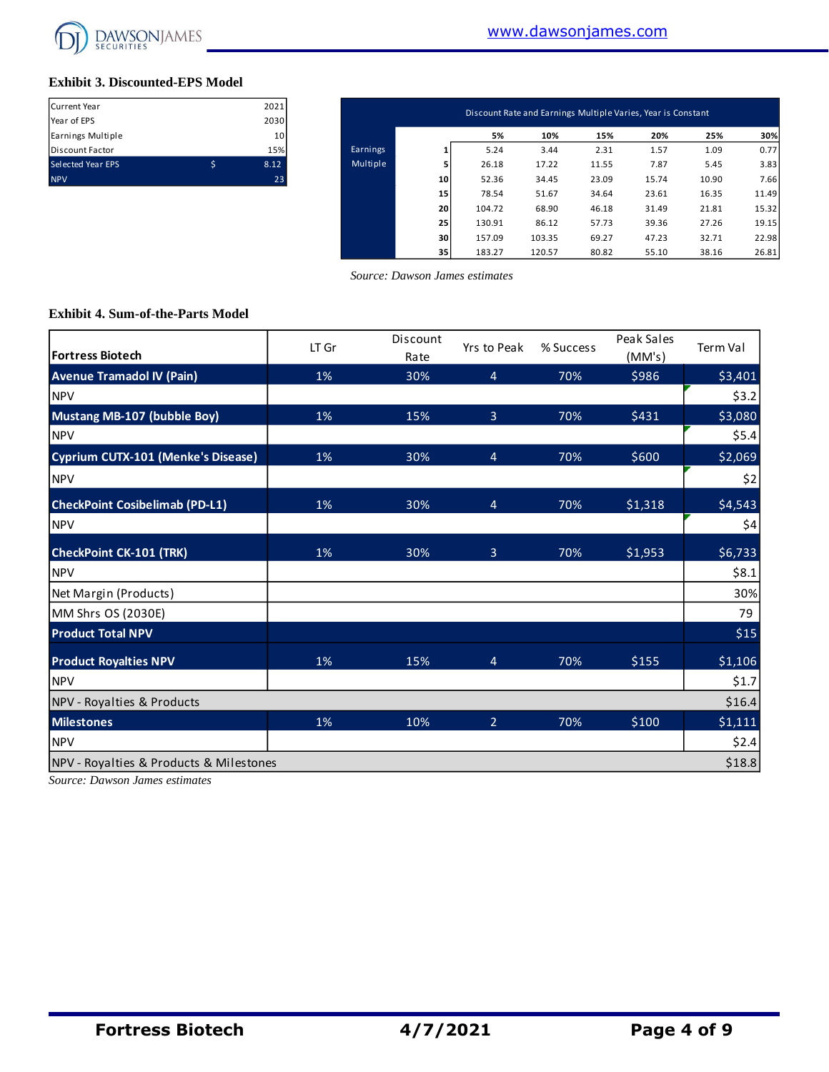

#### **Exhibit 3. Discounted-EPS Model**

| Current Year             |   | 2021 |
|--------------------------|---|------|
| Year of EPS              |   | 2030 |
| Earnings Multiple        |   | 10   |
| Discount Factor          |   | 15%  |
| <b>Selected Year EPS</b> | Ś | 8.12 |
| <b>NPV</b>               |   | 23   |

| Current Year      | 2021            | Discount Rate and Earnings Multiple Varies, Year is Constant |    |        |        |       |       |       |       |  |  |  |  |
|-------------------|-----------------|--------------------------------------------------------------|----|--------|--------|-------|-------|-------|-------|--|--|--|--|
| Year of EPS       | 2030            |                                                              |    |        |        |       |       |       |       |  |  |  |  |
| Earnings Multiple | 10 <sup>1</sup> |                                                              |    | 5%     | 10%    | 15%   | 20%   | 25%   | 30%   |  |  |  |  |
| Discount Factor   | 15%             | Earnings                                                     |    | 5.24   | 3.44   | 2.31  | 1.57  | 1.09  | 0.77  |  |  |  |  |
| Selected Year EPS | \$<br>8.12      | Multiple                                                     |    | 26.18  | 17.22  | 11.55 | 7.87  | 5.45  | 3.83  |  |  |  |  |
| <b>NPV</b>        | 23              |                                                              | 10 | 52.36  | 34.45  | 23.09 | 15.74 | 10.90 | 7.66  |  |  |  |  |
|                   |                 |                                                              | 15 | 78.54  | 51.67  | 34.64 | 23.61 | 16.35 | 11.49 |  |  |  |  |
|                   |                 |                                                              | 20 | 104.72 | 68.90  | 46.18 | 31.49 | 21.81 | 15.32 |  |  |  |  |
|                   |                 |                                                              | 25 | 130.91 | 86.12  | 57.73 | 39.36 | 27.26 | 19.15 |  |  |  |  |
|                   |                 |                                                              | 30 | 157.09 | 103.35 | 69.27 | 47.23 | 32.71 | 22.98 |  |  |  |  |
|                   |                 |                                                              | 35 | 183.27 | 120.57 | 80.82 | 55.10 | 38.16 | 26.81 |  |  |  |  |

 *Source: Dawson James estimates*

#### **Exhibit 4. Sum-of-the-Parts Model**

| <b>Fortress Biotech</b>                 | LT Gr | Discount<br>Rate | Yrs to Peak    | % Success | Peak Sales<br>(MM's) | Term Val |
|-----------------------------------------|-------|------------------|----------------|-----------|----------------------|----------|
| <b>Avenue Tramadol IV (Pain)</b>        | 1%    | 30%              | $\overline{4}$ | 70%       | \$986                | \$3,401  |
| <b>NPV</b>                              |       |                  |                |           |                      | \$3.2    |
| <b>Mustang MB-107 (bubble Boy)</b>      | 1%    | 15%              | $\overline{3}$ | 70%       | \$431                | \$3,080  |
| <b>NPV</b>                              |       |                  |                |           |                      | \$5.4    |
| Cyprium CUTX-101 (Menke's Disease)      | 1%    | 30%              | $\overline{4}$ | 70%       | \$600                | \$2,069  |
| <b>NPV</b>                              |       |                  |                |           |                      | \$2      |
| <b>CheckPoint Cosibelimab (PD-L1)</b>   | 1%    | 30%              | $\overline{4}$ | 70%       | \$1,318              | \$4,543  |
| <b>NPV</b>                              |       |                  |                |           |                      | \$4      |
| <b>CheckPoint CK-101 (TRK)</b>          | 1%    | 30%              | $\overline{3}$ | 70%       | \$1,953              | \$6,733  |
| <b>NPV</b>                              |       |                  |                |           |                      | \$8.1    |
| Net Margin (Products)                   |       |                  |                |           |                      | 30%      |
| MM Shrs OS (2030E)                      |       |                  |                |           |                      | 79       |
| <b>Product Total NPV</b>                |       |                  |                |           |                      | \$15     |
| <b>Product Royalties NPV</b>            | 1%    | 15%              | $\overline{4}$ | 70%       | \$155                | \$1,106  |
| <b>NPV</b>                              |       |                  |                |           |                      | \$1.7    |
| NPV - Royalties & Products              |       |                  |                |           |                      | \$16.4   |
| <b>Milestones</b>                       | 1%    | 10%              | $\overline{2}$ | 70%       | \$100                | \$1,111  |
| <b>NPV</b>                              |       |                  |                |           |                      | \$2.4    |
| NPV - Royalties & Products & Milestones |       |                  |                |           |                      | \$18.8   |

*Source: Dawson James estimates*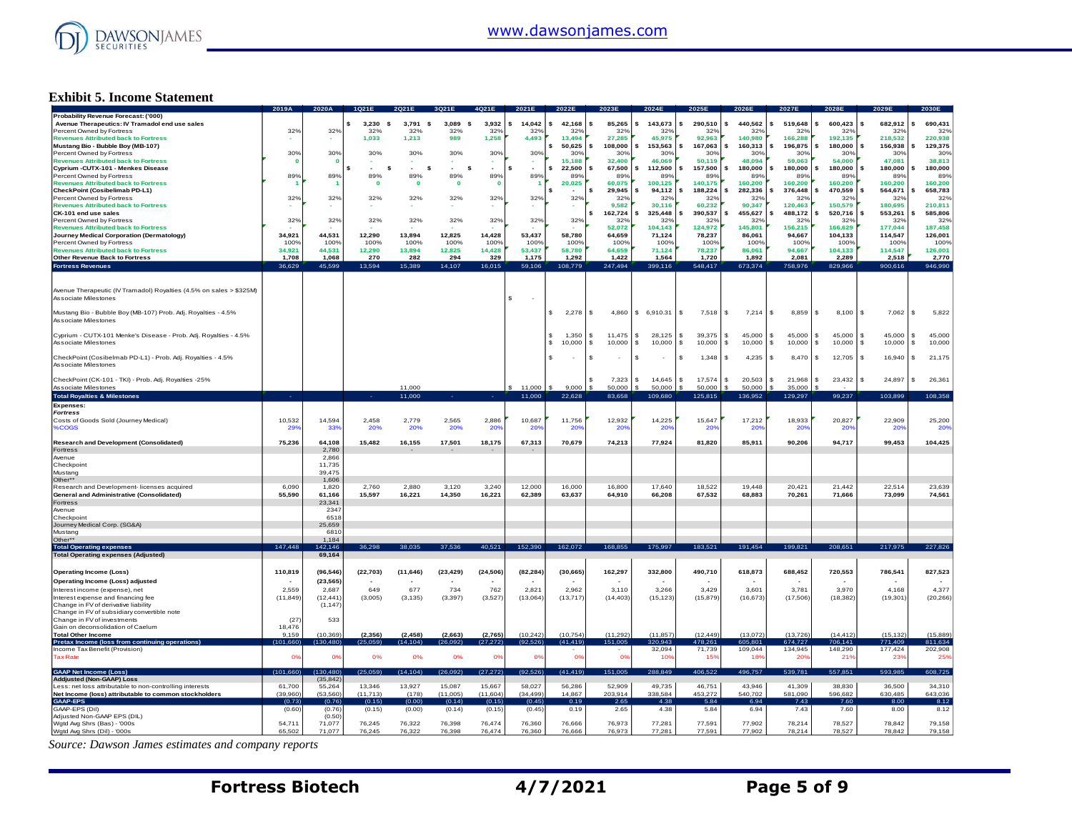

#### **Exhibit 5. Income Statement**

|                                                                                          | 2019A                     | 2020A            |                   |                  |                          |                          |                  |                  |                    |                        | 2025                      | 2026             | 2027E                      | <b>2028E</b>     |                              |                  |
|------------------------------------------------------------------------------------------|---------------------------|------------------|-------------------|------------------|--------------------------|--------------------------|------------------|------------------|--------------------|------------------------|---------------------------|------------------|----------------------------|------------------|------------------------------|------------------|
| Probability Revenue Forecast: ('000)<br>Avenue Therapeutics: IV Tramadol end use sales   |                           |                  | 3.230<br><b>s</b> | 3,791<br>- \$    | 3,089<br>s               | 3,932                    | s<br>14.042      | 42,168           | 85.265<br>s        | 143,673                | 290,510<br>\$             | 440,562          | 519,648                    | 600,423          | 682,912<br>\$.               | 690,431          |
| Percent Owned by Fortress                                                                | 32%                       | 32%              | 32%               | 32%              | 32%                      | 32%                      | 32%              | 32%              | 32%                | 32%                    | 32 <sup>o</sup>           | 32%              | 32%                        | 32%              | 32%                          | 32%              |
| <b>Revenues Attributed back to Fortress</b>                                              |                           |                  | 1.033             | 1.213            | 989                      | 1,258                    | 4,493            | 13,494           | 27,285             | 45.975                 | 92.963                    | 140.980          | 166,288                    | 192,135          | 218,532                      | 220,938          |
| Mustang Bio - Bubble Boy (MB-107)                                                        |                           |                  |                   |                  |                          |                          |                  | 50,625           | 108,000<br>\$      | 153,563                | 167,063                   | 160,313          | 196,875                    | 180,000          | 156,938                      | 129,375          |
| Percent Owned by Fortress                                                                | 30%                       | 30%              | 30%               | 30%              | 30%                      | 30%                      | 30%              | 30%              | 30%                | 30%                    | 30%                       | 30%              | 30%                        | 30%              | 30%                          | 30%              |
| <b>Revenues Attributed back to Fortress</b>                                              |                           |                  |                   |                  |                          |                          |                  | 15.188           | 32,400             | 46,069                 | 50,119                    | 48,094           | 59,063                     | 54,000           | 47,081                       | 38,813           |
| Cyprium - CUTX-101 - Menkes Disease                                                      |                           |                  | \$.<br>- \$       | $\sim$<br>s      | s                        | ٠                        | \$<br>$\sim$     | 22.500           | \$.<br>67,500      | 112,500                | 157,500<br>\$             | 180,000          | 180,000                    | 180,000          | 180,000                      | 180,000          |
| Percent Owned by Fortress                                                                | 89%                       | 89%              | 89%               | 89%              | 89%                      | 89%                      | 89%              | 89%              | 89%                | 89%                    | 89%                       | 89%              | 89%                        | 89%              | 89%                          | 89%              |
| <b>Revenues Attributed back to Fortress</b>                                              |                           |                  | $\mathbf 0$       | $\mathbf 0$      | $\mathbf 0$              | n                        |                  | 20,025           | 60.075             | 100.125                | 140.175                   | 160,200          | 160,200                    | 160,200          | 160,200                      | 160,200          |
| CheckPoint (Cosibelimab PD-L1)                                                           |                           |                  |                   |                  |                          |                          |                  |                  | 29,945<br>s        | 94,112                 | 188,224                   | 282,336          | 376,448                    | 470,559          | 564,671                      | 658,783          |
| Percent Owned by Fortress<br><b>Revenues Attributed back to Fortress</b>                 | 32%                       | 32%              | 32%               | 32%              | 32%                      | 32%                      | 32%              | 32%              | 32%<br>9,582       | 32%<br>30.116          | 32 <sup>o</sup><br>60,232 | 32%<br>90,347    | 32%<br>120,463             | 32%<br>150,579   | 32%<br>180,695               | 329<br>210,811   |
| CK-101 end use sales                                                                     |                           |                  |                   |                  |                          |                          |                  |                  | s<br>162,724       | 325,448                | 390,537                   | 455,627          | 488,172                    | 520,716          | 553,261                      | 585,806          |
| Percent Owned by Fortress                                                                | 329                       | 32%              | 32%               | 32%              | 32%                      | 32%                      | 32%              | 32%              | 32%                | 32%                    | 32%                       | 32%              | 32%                        | 32%              | 32%                          | 32%              |
| <b>Revenues Attributed back to Fortress</b>                                              |                           |                  |                   |                  |                          |                          |                  |                  | 52,072             | 104,143                | 124,972                   | 145,801          | 156,215                    | 166,629          | 177,044                      | 187,458          |
| Journey Medical Corporation (Dermatology)                                                | 34.921                    | 44.531           | 12.290            | 13.894           | 12.825                   | 14,428                   | 53.437           | 58.780           | 64,659             | 71.124                 | 78.237                    | 86.061           | 94.667                     | 104.133          | 114,547                      | 126,001          |
| Percent Owned by Fortress                                                                | 100%                      | 100%             | 100%              | 100%             | 100%                     | 100%                     | 100%             | 100%             | 100%               | 100%                   | 100%                      | 100%             | 100%                       | 100%             | 100%                         | 100%             |
| <b>Revenues Attributed back to Fortress</b>                                              | 34.921                    | 44.531           | 12,290            | 13,894           | 12,825                   | 14,428                   | 53,437           | 58,780           | 64,659             | 71.124                 | 78.237                    | 86,061           | 94.667                     | 104.133          | 114,547                      | 126,001          |
| Other Revenue Back to Fortress                                                           | 1,708                     | 1,068            | 270               | 282              | 294                      | 329                      | 1,175            | 1,292            | 1,422              | 1,564                  | 1,720                     | 1,892            | 2,081                      | 2,289            | 2,518                        | 2,770            |
| <b>Fortress Revenues</b>                                                                 | 36.629                    | 45,599           | 13,594            | 15,389           | 14,107                   | 16,015                   | 59,106           | 108,779          | 247,494            | 399,116                | 548,417                   | 673,374          | 758,976                    | 829,966          | 900,616                      | 946,990          |
|                                                                                          |                           |                  |                   |                  |                          |                          |                  |                  |                    |                        |                           |                  |                            |                  |                              |                  |
|                                                                                          |                           |                  |                   |                  |                          |                          |                  |                  |                    |                        |                           |                  |                            |                  |                              |                  |
| Avenue Therapeutic (IV Tramadol) Royalties (4.5% on sales > \$325M)                      |                           |                  |                   |                  |                          |                          |                  |                  |                    |                        |                           |                  |                            |                  |                              |                  |
| Associate Milestones                                                                     |                           |                  |                   |                  |                          |                          | s                |                  |                    |                        |                           |                  |                            |                  |                              |                  |
|                                                                                          |                           |                  |                   |                  |                          |                          |                  |                  |                    |                        |                           |                  |                            |                  |                              |                  |
| Mustang Bio - Bubble Boy (MB-107) Prob. Adj. Royalties - 4.5%                            |                           |                  |                   |                  |                          |                          |                  | 2,278            | - \$<br>4,860      | \$6,910.31             | s.<br>7,518               | 7,214            | s<br>8,859                 | 8,100            | 7,062<br>$\mathbf{s}$        | 5,822<br>-S      |
| Associate Milestones                                                                     |                           |                  |                   |                  |                          |                          |                  |                  |                    |                        |                           |                  |                            |                  |                              |                  |
|                                                                                          |                           |                  |                   |                  |                          |                          |                  |                  | 11.475             | £.                     |                           |                  |                            |                  | $\mathbf{s}$                 | $\mathbf{s}$     |
| Cyprium - CUTX-101 Menke's Disease - Prob. Adj. Royalties - 4.5%<br>Associate Milestones |                           |                  |                   |                  |                          |                          |                  | 1,350<br>10,000  | -S<br>-S<br>10,000 | 28,125<br>10,000<br>£. | 39,375<br>s.<br>\$        | 45,000<br>£.     | 45,000<br>s<br>s<br>10,000 | 45,000<br>10,000 | 45,000<br>10,000<br><b>S</b> | 45,000<br>-96    |
|                                                                                          |                           |                  |                   |                  |                          |                          |                  |                  |                    |                        | 10,000                    | 10,000           |                            |                  |                              | 10,000           |
| CheckPoint (Cosibelmab PD-L1) - Prob. Adj. Royalties - 4.5%                              |                           |                  |                   |                  |                          |                          |                  |                  | \$                 |                        | 1,348<br>\$               | 4,235            | 8,470<br>s                 | 12,705           | 16,940<br>-S                 | 21,175<br>s      |
| Associate Milestones                                                                     |                           |                  |                   |                  |                          |                          |                  |                  |                    |                        |                           |                  |                            |                  |                              |                  |
|                                                                                          |                           |                  |                   |                  |                          |                          |                  |                  |                    |                        |                           |                  |                            |                  |                              |                  |
| CheckPoint (CK-101 - TKI) - Prob. Adj. Royalties -25%                                    |                           |                  |                   |                  |                          |                          |                  |                  | 7.323              | 14.645<br>£.           | 17.574<br>s.              | 20.503           | 21,968<br>s                | 23,432           | 24,897<br>-96                | 26,361<br>-96    |
| Associate Milestones                                                                     |                           |                  |                   | 11,000           |                          |                          | 11,000           | 9,000            | 50,000             | 50,000                 | 50,000                    | 50,000           | 35,000                     |                  |                              |                  |
| <b>Total Royalties &amp; Milestones</b>                                                  |                           |                  | ۰.                | 11,000           |                          |                          | 11,000           | 22,628           | 83,658             | 109,680                | 125,815                   | 136,952          | 129,297                    | 99,237           | 103,899                      | 108,358          |
| <b>Expenses:</b>                                                                         |                           |                  |                   |                  |                          |                          |                  |                  |                    |                        |                           |                  |                            |                  |                              |                  |
| <b>Fortress</b>                                                                          |                           |                  |                   |                  |                          |                          |                  |                  |                    |                        |                           |                  |                            |                  |                              |                  |
| Costs of Goods Sold (Journey Medical)                                                    | 10,532                    | 14,594           | 2,458             | 2,779            | 2,565                    | 2,886                    | 10,687           | 11,756           | 12,932             | 14,225                 | 15,647                    | 17,212           | 18,933                     | 20,827           | 22,909                       | 25,200           |
| %COGS                                                                                    | 29'                       | 339              | 20%               | 20%              | 20%                      | <b>20%</b>               | :209             | 20%              | 20%                | 20 <sup>6</sup>        | <b>209</b>                | 20 <sup>o</sup>  | :209                       | 20%              | 20 <sup>6</sup>              | 20%              |
|                                                                                          |                           |                  |                   |                  |                          |                          |                  |                  |                    |                        |                           |                  |                            |                  |                              |                  |
| <b>Research and Development (Consolidated)</b>                                           | 75,236                    | 64,108           | 15,482            | 16,155           | 17,501                   | 18,175                   | 67,313           | 70,679           | 74,213             | 77,924                 | 81,820                    | 85,911           | 90,206                     | 94,717           | 99,453                       | 104,425          |
| Fortress                                                                                 |                           | 2,780            |                   |                  |                          | $\overline{\phantom{a}}$ |                  |                  |                    |                        |                           |                  |                            |                  |                              |                  |
| Avenue                                                                                   |                           | 2.866            |                   |                  |                          |                          |                  |                  |                    |                        |                           |                  |                            |                  |                              |                  |
| Checkpoint                                                                               |                           | 11,735           |                   |                  |                          |                          |                  |                  |                    |                        |                           |                  |                            |                  |                              |                  |
| Mustang<br>Other**                                                                       |                           | 39.475<br>1,606  |                   |                  |                          |                          |                  |                  |                    |                        |                           |                  |                            |                  |                              |                  |
| Research and Development- licenses acquired                                              | 6.090                     | 1,820            | 2.760             | 2.880            | 3.120                    | 3.240                    | 12,000           | 16,000           | 16.800             | 17,640                 | 18,522                    | 19.448           | 20.421                     | 21.442           | 22,514                       | 23,639           |
| <b>General and Administrative (Consolidated)</b>                                         | 55.590                    | 61.166           | 15.597            | 16,221           | 14,350                   | 16,221                   | 62,389           | 63,637           | 64,910             | 66,208                 | 67,532                    | 68,883           | 70,261                     | 71.666           | 73.099                       | 74,561           |
| Fortress                                                                                 |                           | 23,341           |                   |                  |                          |                          |                  |                  |                    |                        |                           |                  |                            |                  |                              |                  |
| Avenue                                                                                   |                           | 2347             |                   |                  |                          |                          |                  |                  |                    |                        |                           |                  |                            |                  |                              |                  |
| Checkpoint                                                                               |                           | 6518             |                   |                  |                          |                          |                  |                  |                    |                        |                           |                  |                            |                  |                              |                  |
| Journey Medical Corp. (SG&A)                                                             |                           | 25.659           |                   |                  |                          |                          |                  |                  |                    |                        |                           |                  |                            |                  |                              |                  |
| Mustang                                                                                  |                           | 681              |                   |                  |                          |                          |                  |                  |                    |                        |                           |                  |                            |                  |                              |                  |
| Other**                                                                                  |                           | 1,184            |                   |                  |                          |                          |                  |                  |                    |                        |                           |                  |                            |                  |                              |                  |
| <b>Total Operating expenses</b>                                                          | 147,448                   | 42,146           | 36,298            | 38.035           | 37,536                   | 40,521                   | 152,390          | 162,072          | 168,855            | 175,997                | 183,521                   | 191,454          | 199,821                    | 208,651          | 217,975                      | 227,826          |
| <b>Total Operating expenses (Adjusted)</b>                                               |                           | 69,164           |                   |                  |                          |                          |                  |                  |                    |                        |                           |                  |                            |                  |                              |                  |
|                                                                                          |                           |                  |                   |                  |                          |                          |                  |                  |                    |                        |                           |                  |                            |                  |                              |                  |
| <b>Operating Income (Loss)</b>                                                           | 110,819                   | (96, 546)        | (22, 703)         | (11, 646)        | (23, 429)                | (24, 506)                | (82, 284)        | (30, 665)        | 162,297            | 332,800                | 490,710                   | 618,873          | 688,452                    | 720,553          | 786,541                      | 827,523          |
| Operating Income (Loss) adjusted                                                         |                           | (23, 565)        |                   |                  | $\overline{\phantom{a}}$ |                          |                  |                  |                    |                        |                           |                  |                            |                  |                              |                  |
| Interest income (expense), net                                                           | 2.559                     | 2,687            | 649               | 677              | 734                      | 762                      | 2.821            | 2.962            | 3,110              | 3,266                  | 3.429                     | 3.601            | 3,781                      | 3.970            | 4,168                        | 4,377            |
| Interest expense and financing fee                                                       | (11, 849)                 | (12, 441)        | (3,005)           | (3, 135)         | (3, 397)                 | (3, 527)                 | (13,064)         | (13, 717)        | (14, 403)          | (15, 123)              | (15, 879)                 | (16, 673)        | (17,506)                   | (18, 382)        | (19, 301)                    | (20, 266)        |
| Change in FV of derivative liability                                                     |                           | (1, 147)         |                   |                  |                          |                          |                  |                  |                    |                        |                           |                  |                            |                  |                              |                  |
| Change in FV of subsidiary convertible note                                              |                           |                  |                   |                  |                          |                          |                  |                  |                    |                        |                           |                  |                            |                  |                              |                  |
| Change in FV of investments<br>Gain on deconsolidation of Caelum                         | (27)<br>18,476            | 533              |                   |                  |                          |                          |                  |                  |                    |                        |                           |                  |                            |                  |                              |                  |
| <b>Total Other Income</b>                                                                | 9,159                     | (10, 369)        | (2, 356)          | (2, 458)         | (2,663)                  | (2,765)                  | (10, 242)        | (10, 754)        | (11, 292)          | (11, 857)              | (12, 449)                 | (13,072)         | (13, 726)                  | (14, 412)        | (15, 132)                    | (15, 889)        |
| Pretax Income (loss from continuing operations)                                          | (101.660)                 | (130, 480)       | (25.059)          | (14.104)         | 26.092                   | (27, 272)                | (92.526)         | (41, 419)        | 151,005            | 320,943                | 478,261                   | 605,801          | 674,727                    | 706,141          | 771.409                      | 811,634          |
| Income Tax Benefit (Provision)                                                           |                           |                  |                   |                  |                          |                          |                  |                  |                    | 32,094                 | 71,739                    | 109,044          | 134,945                    | 148,290          | 177,424                      | 202,908          |
| <b>Tax Rate</b>                                                                          | $\mathbf{O}^{\mathsf{s}}$ | 0 <sup>9</sup>   | 0%                | 0%               | 0%                       | 0%                       | O <sup>5</sup>   | 0%               | 0%                 | 10%                    | 15%                       | 18%              | 20%                        | 21%              | 23%                          | 25%              |
|                                                                                          |                           |                  |                   |                  |                          |                          |                  |                  |                    |                        |                           |                  |                            |                  |                              |                  |
| <b>GAAP Net Income (Loss)</b>                                                            | (101, 660)                | (130.480)        | (25,059)          | (14, 104)        | (26,092)                 | (27, 272)                | (92, 526)        | (41, 419)        | 151,005            | 288,849                | 406,522                   | 496,757          | 539,781                    | 557,851          | 593,985                      | 608,725          |
| Addjusted (Non-GAAP) Loss                                                                |                           | (35, 842)        |                   |                  |                          |                          |                  |                  |                    |                        |                           |                  |                            |                  |                              |                  |
| Less: net loss attributable to non-controlling interests                                 | 61,700                    | 55,264           | 13,346            | 13,927           | 15,087                   | 15,667                   | 58,027           | 56,286           | 52,909             | 49,735                 | 46,751                    | 43.946           | 41.309                     | 38.830           | 36,500                       | 34,310           |
| Net Income (loss) attributable to common stockholders                                    | (39,960)                  | (53, 560)        | (11, 713)         | (178)            | (11,005)                 | (11,604)                 | (34, 499)        | 14,867           | 203,914            | 338,584                | 453,272                   | 540,702          | 581,090                    | 596,682          | 630,485                      | 643,036          |
|                                                                                          |                           |                  |                   |                  |                          |                          |                  |                  |                    |                        |                           |                  |                            |                  |                              |                  |
| <b>GAAP-EPS</b>                                                                          | (0.73)                    | (0.76)           | (0.15)            | (0.00)           | (0.14)                   | (0.15)                   | (0.45)           | 0.19             | 2.65               | 4.38                   | 5.84                      | 6.94             | 7.43                       | 7.60             | 8.00                         | 8.12             |
| GAAP-EPS (Dil)                                                                           | (0.60)                    | (0.76)           | (0.15)            | (0.00)           | (0.14)                   | (0.15)                   | (0.45)           | 0.19             | 2.65               | 4.38                   | 5.84                      | 6.94             | 7.43                       | 7.60             | 8.00                         | 8.12             |
| Adjusted Non-GAAP EPS (DIL)                                                              |                           | (0.50)           |                   |                  |                          |                          |                  |                  |                    |                        |                           |                  |                            |                  |                              |                  |
| Wgtd Avg Shrs (Bas) - '000s<br>Wgtd Avg Shrs (Dil) - '000s                               | 54.711<br>65,502          | 71,077<br>71,077 | 76.245<br>76,245  | 76.322<br>76,322 | 76.398<br>76,398         | 76.474<br>76,474         | 76,360<br>76,360 | 76.666<br>76,666 | 76.973<br>76,973   | 77,281<br>77,281       | 77.591<br>77,591          | 77.902<br>77,902 | 78,214<br>78.214           | 78.527<br>78,527 | 78.842<br>78,842             | 79.158<br>79,158 |

*Source: Dawson James estimates and company reports*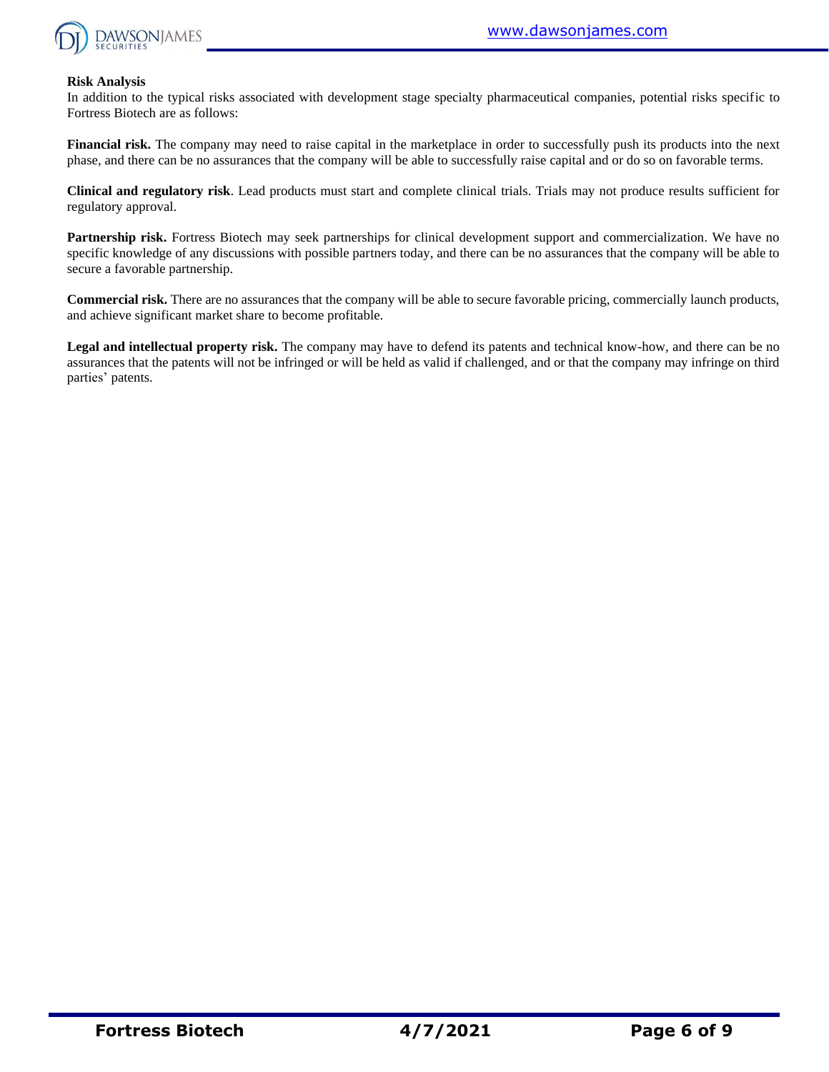

#### **Risk Analysis**

In addition to the typical risks associated with development stage specialty pharmaceutical companies, potential risks specific to Fortress Biotech are as follows:

**Financial risk.** The company may need to raise capital in the marketplace in order to successfully push its products into the next phase, and there can be no assurances that the company will be able to successfully raise capital and or do so on favorable terms.

**Clinical and regulatory risk**. Lead products must start and complete clinical trials. Trials may not produce results sufficient for regulatory approval.

**Partnership risk.** Fortress Biotech may seek partnerships for clinical development support and commercialization. We have no specific knowledge of any discussions with possible partners today, and there can be no assurances that the company will be able to secure a favorable partnership.

**Commercial risk.** There are no assurances that the company will be able to secure favorable pricing, commercially launch products, and achieve significant market share to become profitable.

**Legal and intellectual property risk.** The company may have to defend its patents and technical know-how, and there can be no assurances that the patents will not be infringed or will be held as valid if challenged, and or that the company may infringe on third parties' patents.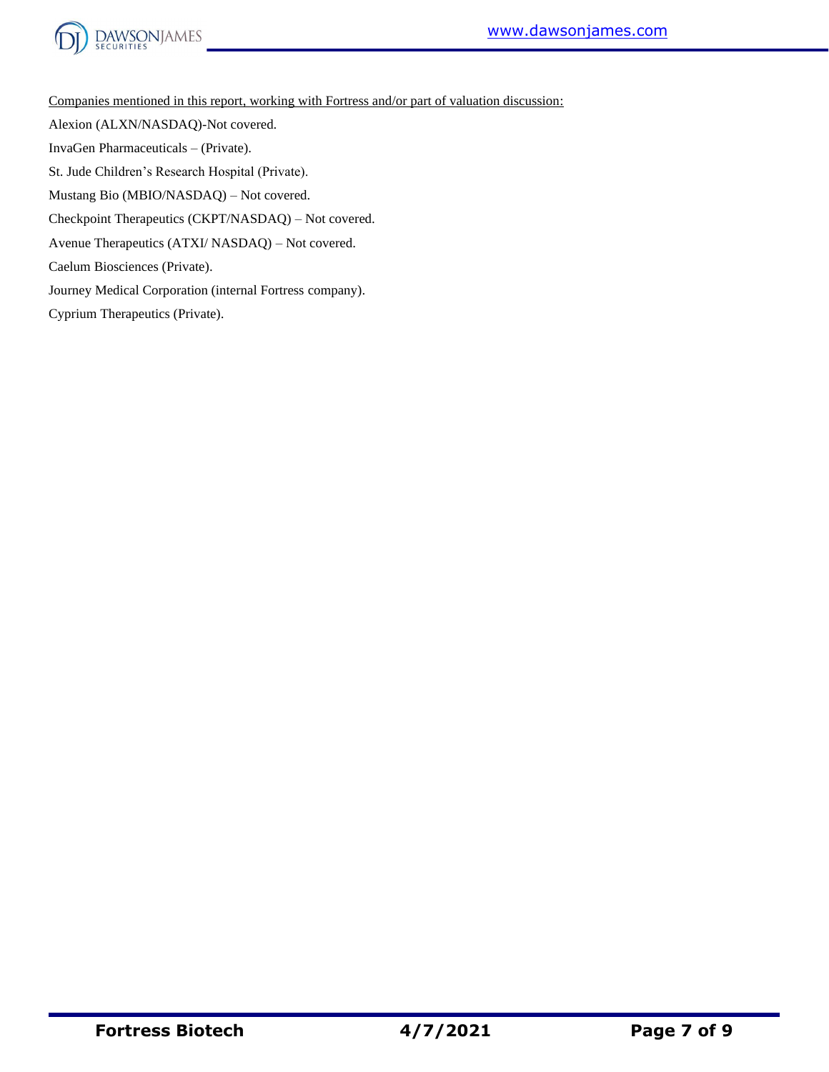



Companies mentioned in this report, working with Fortress and/or part of valuation discussion:

Alexion (ALXN/NASDAQ)-Not covered.

InvaGen Pharmaceuticals – (Private).

St. Jude Children's Research Hospital (Private).

Mustang Bio (MBIO/NASDAQ) – Not covered.

Checkpoint Therapeutics (CKPT/NASDAQ) – Not covered.

Avenue Therapeutics (ATXI/ NASDAQ) – Not covered.

Caelum Biosciences (Private).

Journey Medical Corporation (internal Fortress company).

Cyprium Therapeutics (Private).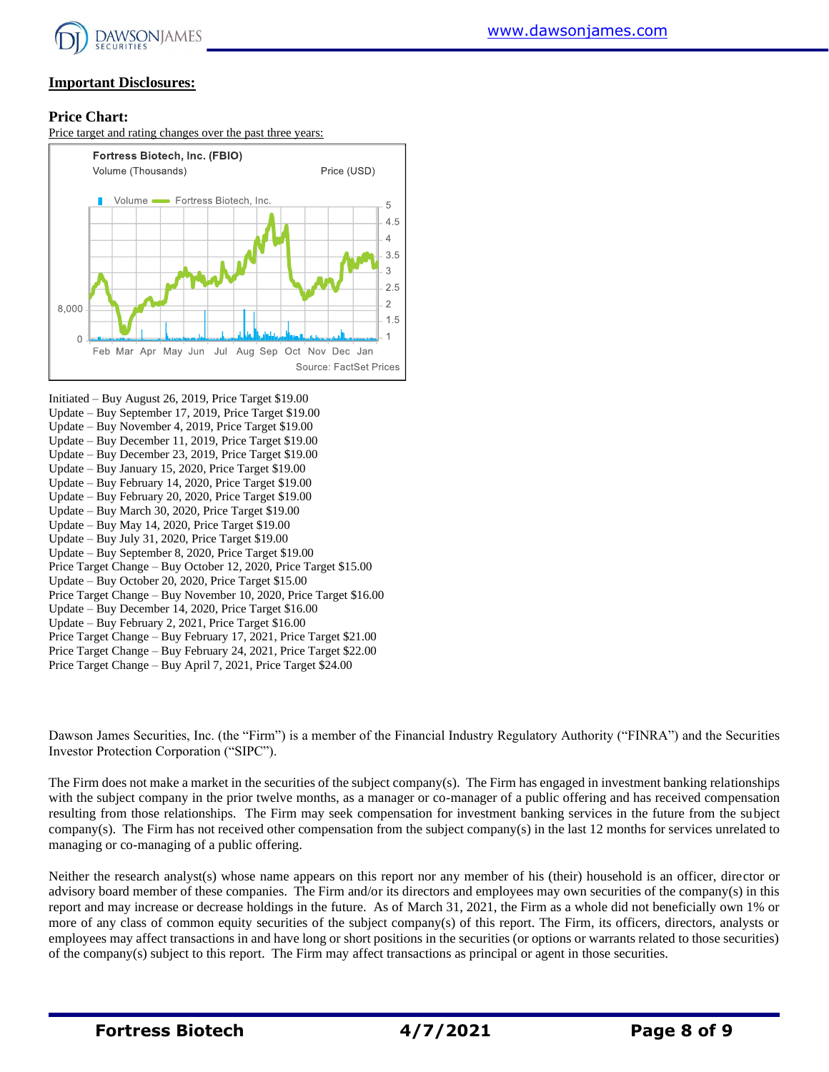

### **Important Disclosures:**

#### **Price Chart:**

Price target and rating changes over the past three years:



Initiated – Buy August 26, 2019, Price Target \$19.00 Update – Buy September 17, 2019, Price Target \$19.00 Update – Buy November 4, 2019, Price Target \$19.00 Update – Buy December 11, 2019, Price Target \$19.00 Update – Buy December 23, 2019, Price Target \$19.00 Update – Buy January 15, 2020, Price Target \$19.00 Update – Buy February 14, 2020, Price Target \$19.00 Update – Buy February 20, 2020, Price Target \$19.00 Update – Buy March 30, 2020, Price Target \$19.00 Update – Buy May 14, 2020, Price Target \$19.00 Update – Buy July 31, 2020, Price Target \$19.00 Update – Buy September 8, 2020, Price Target \$19.00 Price Target Change – Buy October 12, 2020, Price Target \$15.00 Update – Buy October 20, 2020, Price Target \$15.00 Price Target Change – Buy November 10, 2020, Price Target \$16.00 Update – Buy December 14, 2020, Price Target \$16.00 Update – Buy February 2, 2021, Price Target \$16.00 Price Target Change – Buy February 17, 2021, Price Target \$21.00 Price Target Change – Buy February 24, 2021, Price Target \$22.00 Price Target Change – Buy April 7, 2021, Price Target \$24.00

Dawson James Securities, Inc. (the "Firm") is a member of the Financial Industry Regulatory Authority ("FINRA") and the Securities Investor Protection Corporation ("SIPC").

The Firm does not make a market in the securities of the subject company(s). The Firm has engaged in investment banking relationships with the subject company in the prior twelve months, as a manager or co-manager of a public offering and has received compensation resulting from those relationships. The Firm may seek compensation for investment banking services in the future from the subject company(s). The Firm has not received other compensation from the subject company(s) in the last 12 months for services unrelated to managing or co-managing of a public offering.

Neither the research analyst(s) whose name appears on this report nor any member of his (their) household is an officer, director or advisory board member of these companies. The Firm and/or its directors and employees may own securities of the company(s) in this report and may increase or decrease holdings in the future. As of March 31, 2021, the Firm as a whole did not beneficially own 1% or more of any class of common equity securities of the subject company(s) of this report. The Firm, its officers, directors, analysts or employees may affect transactions in and have long or short positions in the securities (or options or warrants related to those securities) of the company(s) subject to this report. The Firm may affect transactions as principal or agent in those securities.